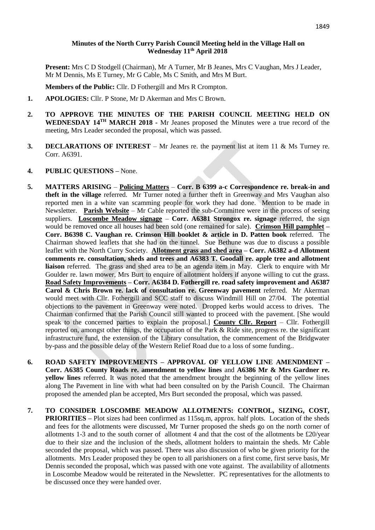## **Minutes of the North Curry Parish Council Meeting held in the Village Hall on Wednesday 11 th April 2018**

**Present:** Mrs C D Stodgell (Chairman), Mr A Turner, Mr B Jeanes, Mrs C Vaughan, Mrs J Leader, Mr M Dennis, Ms E Turney, Mr G Cable, Ms C Smith, and Mrs M Burt.

**Members of the Public:** Cllr. D Fothergill and Mrs R Crompton.

- **1. APOLOGIES:** Cllr. P Stone, Mr D Akerman and Mrs C Brown.
- **2. TO APPROVE THE MINUTES OF THE PARISH COUNCIL MEETING HELD ON WEDNESDAY 14 TH MARCH 2018 -** Mr Jeanes proposed the Minutes were a true record of the meeting, Mrs Leader seconded the proposal, which was passed.
- **3. DECLARATIONS OF INTEREST** Mr Jeanes re. the payment list at item 11 & Ms Turney re. Corr. A6391.
- **4. PUBLIC QUESTIONS –** None.
- **5. MATTERS ARISING Policing Matters Corr. B 6399 a-c Correspondence re. break-in and theft in the village** referred. Mr Turner noted a further theft in Greenway and Mrs Vaughan also reported men in a white van scamming people for work they had done. Mention to be made in Newsletter. **Parish Website** – Mr Cable reported the sub-Committee were in the process of seeing suppliers. **Loscombe Meadow signage** – **Corr. A6381 Strongox re. signage** referred, the sign would be removed once all houses had been sold (one remained for sale). **Crimson Hill pamphlet – Corr. B6398 C. Vaughan re. Crimson Hill booklet & article in D. Patten book** referred. The Chairman showed leaflets that she had on the tunnel. Sue Bethune was due to discuss a possible leaflet with the North Curry Society. **Allotment grass and shed area – Corr. A6382 a-d Allotment comments re. consultation, sheds and trees and A6383 T. Goodall re. apple tree and allotment liaison** referred.The grass and shed area to be an agenda item in May. Clerk to enquire with Mr Goulder re. lawn mower, Mrs Burt to enquire of allotment holders if anyone willing to cut the grass. **Road Safety Improvements – Corr. A6384 D. Fothergill re. road safety improvement and A6387 Carol & Chris Brown re. lack of consultation re. Greenway pavement** referred. Mr Akerman would meet with Cllr. Fothergill and SCC staff to discuss Windmill Hill on 27/04. The potential objections to the pavement in Greenway were noted. Dropped kerbs would access to drives. The Chairman confirmed that the Parish Council still wanted to proceed with the pavement. [She would speak to the concerned parties to explain the proposal.] **County Cllr. Report** – Cllr. Fothergill reported on, amongst other things, the occupation of the Park & Ride site, progress re. the significant infrastructure fund, the extension of the Library consultation, the commencement of the Bridgwater by-pass and the possible delay of the Western Relief Road due to a loss of some funding..
- **6. ROAD SAFETY IMPROVEMENTS – APPROVAL OF YELLOW LINE AMENDMENT – Corr. A6385 County Roads re. amendment to yellow lines** and **A6386 Mr & Mrs Gardner re. yellow lines** referred. It was noted that the amendment brought the beginning of the yellow lines along The Pavement in line with what had been consulted on by the Parish Council. The Chairman proposed the amended plan be accepted, Mrs Burt seconded the proposal, which was passed.
- **7. TO CONSIDER LOSCOMBE MEADOW ALLOTMENTS: CONTROL, SIZING, COST, PRIORITIES** – Plot sizes had been confirmed as 115sq.m, approx. half plots. Location of the sheds and fees for the allotments were discussed, Mr Turner proposed the sheds go on the north corner of allotments 1-3 and to the south corner of allotment 4 and that the cost of the allotments be £20/year due to their size and the inclusion of the sheds, allotment holders to maintain the sheds. Mr Cable seconded the proposal, which was passed. There was also discussion of who be given priority for the allotments. Mrs Leader proposed they be open to all parishioners on a first come, first serve basis, Mr Dennis seconded the proposal, which was passed with one vote against. The availability of allotments in Loscombe Meadow would be reiterated in the Newsletter. PC representatives for the allotments to be discussed once they were handed over.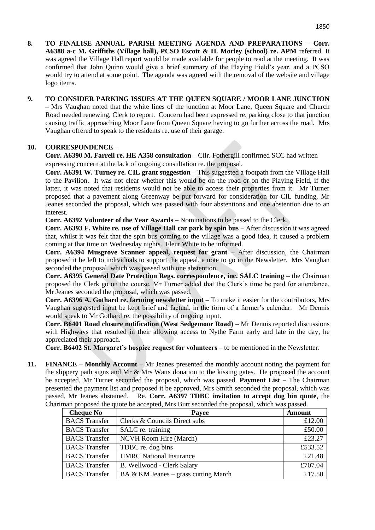- **8. TO FINALISE ANNUAL PARISH MEETING AGENDA AND PREPARATIONS – Corr. A6388 a-c M. Griffiths (Village hall), PCSO Escott & H. Morley (school) re. APM** referred. It was agreed the Village Hall report would be made available for people to read at the meeting. It was confirmed that John Quinn would give a brief summary of the Playing Field's year, and a PCSO would try to attend at some point. The agenda was agreed with the removal of the website and village logo items.
- **9. TO CONSIDER PARKING ISSUES AT THE QUEEN SQUARE / MOOR LANE JUNCTION –** Mrs Vaughan noted that the white lines of the junction at Moor Lane, Queen Square and Church Road needed renewing, Clerk to report. Concern had been expressed re. parking close to that junction causing traffic approaching Moor Lane from Queen Square having to go further across the road. Mrs Vaughan offered to speak to the residents re. use of their garage.

## **10. CORRESPONDENCE** –

**Corr. A6390 M. Farrell re. HE A358 consultation –** Cllr. Fothergill confirmed SCC had written expressing concern at the lack of ongoing consultation re. the proposal.

**Corr. A6391 W. Turney re. CIL grant suggestion –** This suggested a footpath from the Village Hall to the Pavilion. It was not clear whether this would be on the road or on the Playing Field, if the latter, it was noted that residents would not be able to access their properties from it. Mr Turner proposed that a pavement along Greenway be put forward for consideration for CIL funding, Mr Jeanes seconded the proposal, which was passed with four abstentions and one abstention due to an interest.

**Corr. A6392 Volunteer of the Year Awards –** Nominations to be passed to the Clerk.

**Corr. A6393 F. White re. use of Village Hall car park by spin bus –** After discussion it was agreed that, whilst it was felt that the spin bus coming to the village was a good idea, it caused a problem coming at that time on Wednesday nights. Fleur White to be informed.

**Corr. A6394 Musgrove Scanner appeal, request for grant –** After discussion, the Chairman proposed it be left to individuals to support the appeal, a note to go in the Newsletter. Mrs Vaughan seconded the proposal, which was passed with one abstention.

**Corr. A6395 General Date Protection Regs. correspondence, inc. SALC training** – the Chairman proposed the Clerk go on the course, Mr Turner added that the Clerk's time be paid for attendance. Mr Jeanes seconded the proposal, which was passed.

**Corr. A6396 A. Gothard re. farming newsletter input** – To make it easier for the contributors, Mrs Vaughan suggested input be kept brief and factual, in the form of a farmer's calendar. Mr Dennis would speak to Mr Gothard re. the possibility of ongoing input.

**Corr. B6401 Road closure notification (West Sedgemoor Road)** – Mr Dennis reported discussions with Highways that resulted in their allowing access to Nythe Farm early and late in the day, he appreciated their approach.

**Corr. B6402 St. Margaret's hospice request for volunteers** – to be mentioned in the Newsletter.

**11. FINANCE – Monthly Account** – Mr Jeanes presented the monthly account noting the payment for the slippery path signs and Mr & Mrs Watts donation to the kissing gates. He proposed the account be accepted, Mr Turner seconded the proposal, which was passed. **Payment List –** The Chairman presented the payment list and proposed it be approved, Mrs Smith seconded the proposal, which was passed, Mr Jeanes abstained. Re. **Corr. A6397 TDBC invitation to accept dog bin quote**, the Chariman proposed the quote be accepted, Mrs Burt seconded the proposal, which was passed.

| <b>Cheque No</b>     | Payee                                | <b>Amount</b> |
|----------------------|--------------------------------------|---------------|
| <b>BACS</b> Transfer | Clerks & Councils Direct subs        | £12.00        |
| <b>BACS</b> Transfer | SALC re. training                    | £50.00        |
| <b>BACS</b> Transfer | NCVH Room Hire (March)               | £23.27        |
| <b>BACS</b> Transfer | TDBC re. dog bins                    | £533.52       |
| <b>BACS</b> Transfer | <b>HMRC</b> National Insurance       | £21.48        |
| <b>BACS</b> Transfer | B. Wellwood - Clerk Salary           | £707.04       |
| <b>BACS</b> Transfer | BA & KM Jeanes – grass cutting March | £17.50        |